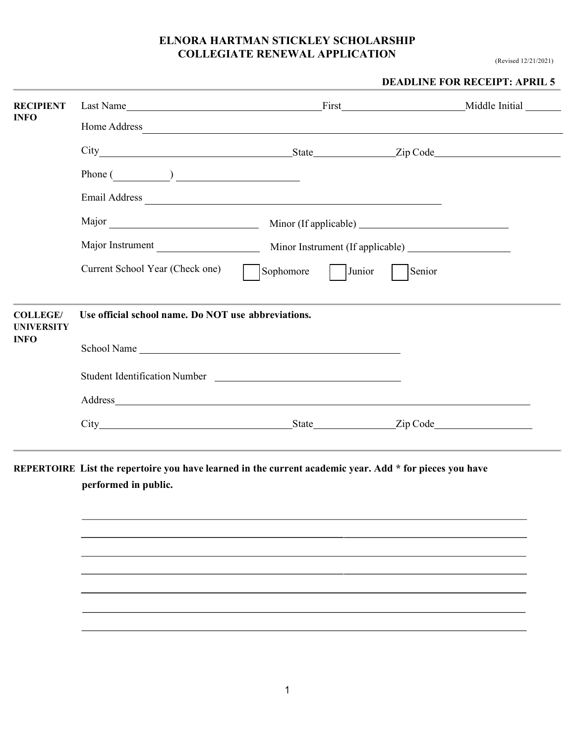(Revised 12/21/2021)

|                                                     |                                                           |  | <b>DEADLINE FOR RECEIPT: APRIL 5</b> |
|-----------------------------------------------------|-----------------------------------------------------------|--|--------------------------------------|
| <b>RECIPIENT</b>                                    |                                                           |  |                                      |
| <b>INFO</b>                                         | Home Address                                              |  |                                      |
|                                                     |                                                           |  |                                      |
|                                                     |                                                           |  |                                      |
|                                                     |                                                           |  |                                      |
|                                                     |                                                           |  |                                      |
|                                                     |                                                           |  |                                      |
|                                                     | Current School Year (Check one) Sophomore Junior   Senior |  |                                      |
| <b>COLLEGE/</b><br><b>UNIVERSITY</b><br><b>INFO</b> | Use official school name. Do NOT use abbreviations.       |  |                                      |
|                                                     | School Name                                               |  |                                      |
|                                                     | Student Identification Number                             |  |                                      |
|                                                     |                                                           |  |                                      |
|                                                     | City State Zip Code                                       |  |                                      |

**REPERTOIRE List the repertoire you have learned in the current academic year. Add \* for pieces you have performed in public.**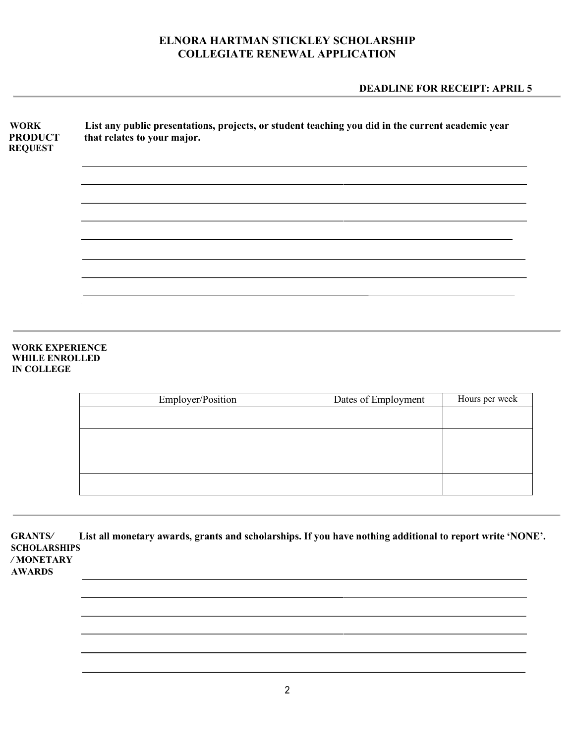### **DEADLINE FOR RECEIPT: APRIL 5**

| <b>WORK</b><br><b>PRODUCT</b><br><b>REQUEST</b> | List any public presentations, projects, or student teaching you did in the current academic year<br>that relates to your major. |  |  |
|-------------------------------------------------|----------------------------------------------------------------------------------------------------------------------------------|--|--|
|                                                 |                                                                                                                                  |  |  |
|                                                 |                                                                                                                                  |  |  |
|                                                 |                                                                                                                                  |  |  |
|                                                 |                                                                                                                                  |  |  |

#### **WORK EXPERIENCE WHILE ENROLLED IN COLLEGE**

| Employer/Position | Dates of Employment | Hours per week |
|-------------------|---------------------|----------------|
|                   |                     |                |
|                   |                     |                |
|                   |                     |                |
|                   |                     |                |
|                   |                     |                |

**GRANTS***/* **List all monetary awards, grants and scholarships. If you have nothing additional to report write 'NONE'. SCHOLARSHIPS** */* **MONETARY** 

**AWARDS**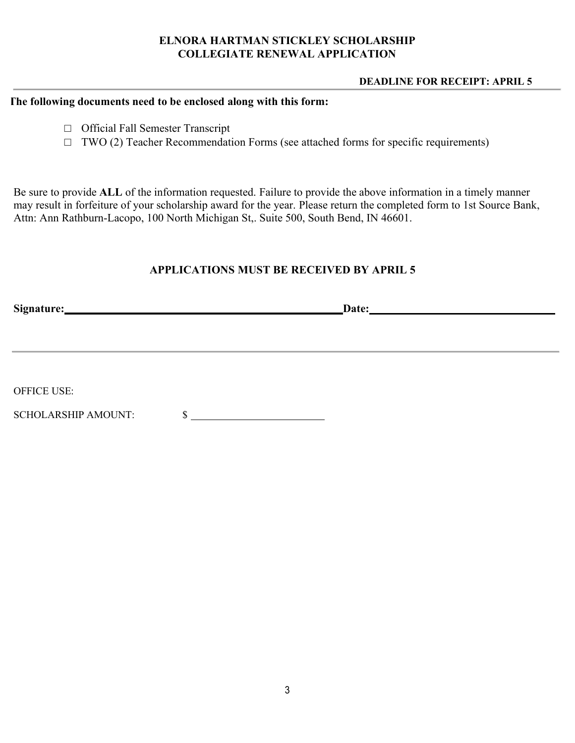#### **DEADLINE FOR RECEIPT: APRIL 5**

#### **The following documents need to be enclosed along with this form:**

- □ Official Fall Semester Transcript
- $\Box$  TWO (2) Teacher Recommendation Forms (see attached forms for specific requirements)

Be sure to provide **ALL** of the information requested. Failure to provide the above information in a timely manner may result in forfeiture of your scholarship award for the year. Please return the completed form to 1st Source Bank, Attn: Ann Rathburn-Lacopo, 100 North Michigan St,. Suite 500, South Bend, IN 46601.

## **APPLICATIONS MUST BE RECEIVED BY APRIL 5**

| Date: |
|-------|
|       |
|       |
|       |
|       |
|       |
|       |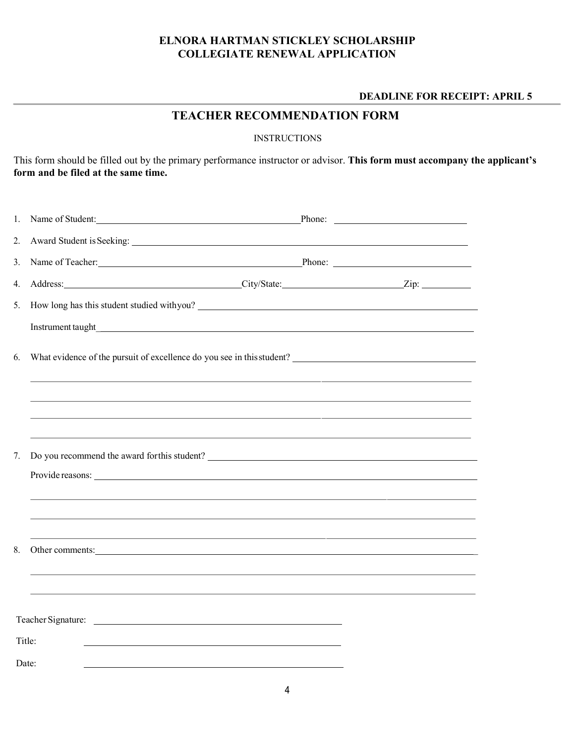#### **DEADLINE FOR RECEIPT: APRIL 5**

# **TEACHER RECOMMENDATION FORM**

#### **INSTRUCTIONS**

This form should be filled out by the primary performance instructor or advisor. **This form must accompany the applicant's form and be filed at the same time.** 

| 1. | Name of Student:                                                                                                                                                                                                               |  |
|----|--------------------------------------------------------------------------------------------------------------------------------------------------------------------------------------------------------------------------------|--|
| 2. |                                                                                                                                                                                                                                |  |
| 3. | Name of Teacher: Phone: Phone: Phone: Phone: Phone: Phone: Phone: Phone: Phone: Phone: Phone: Phone: Phone: Phone: Phone: Phone: Phone: Phone: Phone: Phone: Phone: Phone: Phone: Phone: Phone: Phone: Phone: Phone: Phone: Ph |  |
| 4. | Address: <u>City/State:</u> City/State: <u>City/State:</u> City/State: 2ip:                                                                                                                                                    |  |
| 5. |                                                                                                                                                                                                                                |  |
|    |                                                                                                                                                                                                                                |  |
| 6. | What evidence of the pursuit of excellence do you see in this student?<br><u>Letting</u>                                                                                                                                       |  |
|    |                                                                                                                                                                                                                                |  |
|    | <u> 1989 - Johann Stoff, deutscher Stoffen und der Stoffen und der Stoffen und der Stoffen und der Stoffen und de</u>                                                                                                          |  |
| 7. | Do you recommend the award for this student?                                                                                                                                                                                   |  |
|    | Provide reasons:                                                                                                                                                                                                               |  |
|    |                                                                                                                                                                                                                                |  |
|    | ,我们也不会有什么。""我们的人,我们也不会有什么?""我们的人,我们也不会有什么?""我们的人,我们也不会有什么?""我们的人,我们也不会有什么?""我们的人                                                                                                                                               |  |
| 8. | <u> 1989 - Andrea Santa Andrea Santa Andrea Santa Andrea Santa Andrea Santa Andrea Santa Andrea Santa Andrea San</u><br>Other comments:                                                                                        |  |
|    |                                                                                                                                                                                                                                |  |
|    |                                                                                                                                                                                                                                |  |
|    |                                                                                                                                                                                                                                |  |
|    | Title:                                                                                                                                                                                                                         |  |
|    | Date:                                                                                                                                                                                                                          |  |